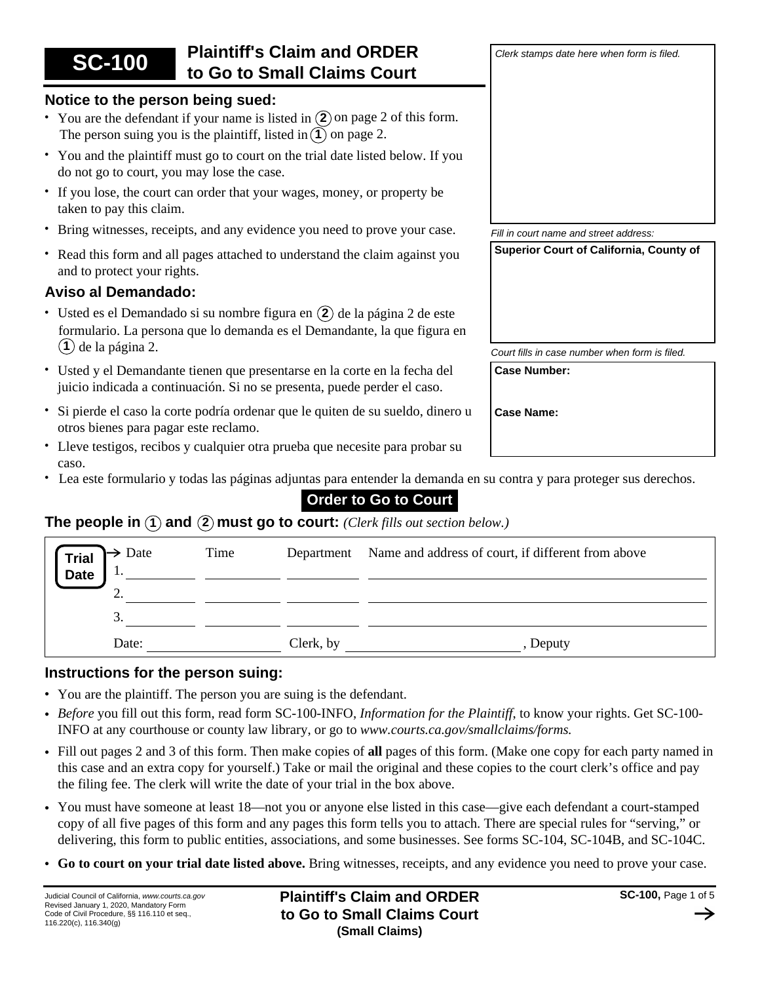| <b>SC-100</b>                                                                                                                                         | <b>Plaintiff's Claim and ORDER</b><br>to Go to Small Claims Court                                                                                      | Clerk stamps date here when form is filed.     |
|-------------------------------------------------------------------------------------------------------------------------------------------------------|--------------------------------------------------------------------------------------------------------------------------------------------------------|------------------------------------------------|
| Notice to the person being sued:                                                                                                                      |                                                                                                                                                        |                                                |
|                                                                                                                                                       | • You are the defendant if your name is listed in $(2)$ on page 2 of this form.<br>The person suing you is the plaintiff, listed in $(1)$ on page 2.   |                                                |
| do not go to court, you may lose the case.                                                                                                            | • You and the plaintiff must go to court on the trial date listed below. If you                                                                        |                                                |
| taken to pay this claim.                                                                                                                              | • If you lose, the court can order that your wages, money, or property be                                                                              |                                                |
|                                                                                                                                                       | • Bring witnesses, receipts, and any evidence you need to prove your case.                                                                             | Fill in court name and street address:         |
| and to protect your rights.                                                                                                                           | • Read this form and all pages attached to understand the claim against you                                                                            | Superior Court of California, County of        |
| <b>Aviso al Demandado:</b>                                                                                                                            |                                                                                                                                                        |                                                |
| · Usted es el Demandado si su nombre figura en (2) de la página 2 de este<br>formulario. La persona que lo demanda es el Demandante, la que figura en |                                                                                                                                                        |                                                |
| de la página 2.                                                                                                                                       |                                                                                                                                                        | Court fills in case number when form is filed. |
|                                                                                                                                                       | • Usted y el Demandante tienen que presentarse en la corte en la fecha del<br>juicio indicada a continuación. Si no se presenta, puede perder el caso. | <b>Case Number:</b>                            |
|                                                                                                                                                       | · Si pierde el caso la corte podría ordenar que le quiten de su sueldo, dinero u                                                                       | <b>Case Name:</b>                              |

- Lleve testigos, recibos y cualquier otra prueba que necesite para probar su caso.
- Lea este formulario y todas las páginas adjuntas para entender la demanda en su contra y para proteger sus derechos. •

# **Order to Go to Court**

# **The people in** (1) and (2) must go to court: *(Clerk fills out section below.)*

| $\rightarrow$ Date<br><b>Trial</b><br><b>Date</b><br>ι. | Time | Department | Name and address of court, if different from above |
|---------------------------------------------------------|------|------------|----------------------------------------------------|
| <u>.</u>                                                |      |            |                                                    |
| 3.                                                      |      |            |                                                    |
| Date:                                                   |      | Clerk, by  | , Deputy                                           |

# **Instructions for the person suing:**

otros bienes para pagar este reclamo.

- You are the plaintiff. The person you are suing is the defendant.
- *Before* you fill out this form, read form SC-100-INFO, *Information for the Plaintiff*, to know your rights. Get SC-100- INFO at any courthouse or county law library, or go to *www.courts.ca.gov/smallclaims/forms.*
- Fill out pages 2 and 3 of this form. Then make copies of **all** pages of this form. (Make one copy for each party named in this case and an extra copy for yourself.) Take or mail the original and these copies to the court clerk's office and pay the filing fee. The clerk will write the date of your trial in the box above.
- You must have someone at least 18—not you or anyone else listed in this case—give each defendant a court-stamped copy of all five pages of this form and any pages this form tells you to attach. There are special rules for "serving," or delivering, this form to public entities, associations, and some businesses. See forms SC-104, SC-104B, and SC-104C.
- **Go to court on your trial date listed above.** Bring witnesses, receipts, and any evidence you need to prove your case.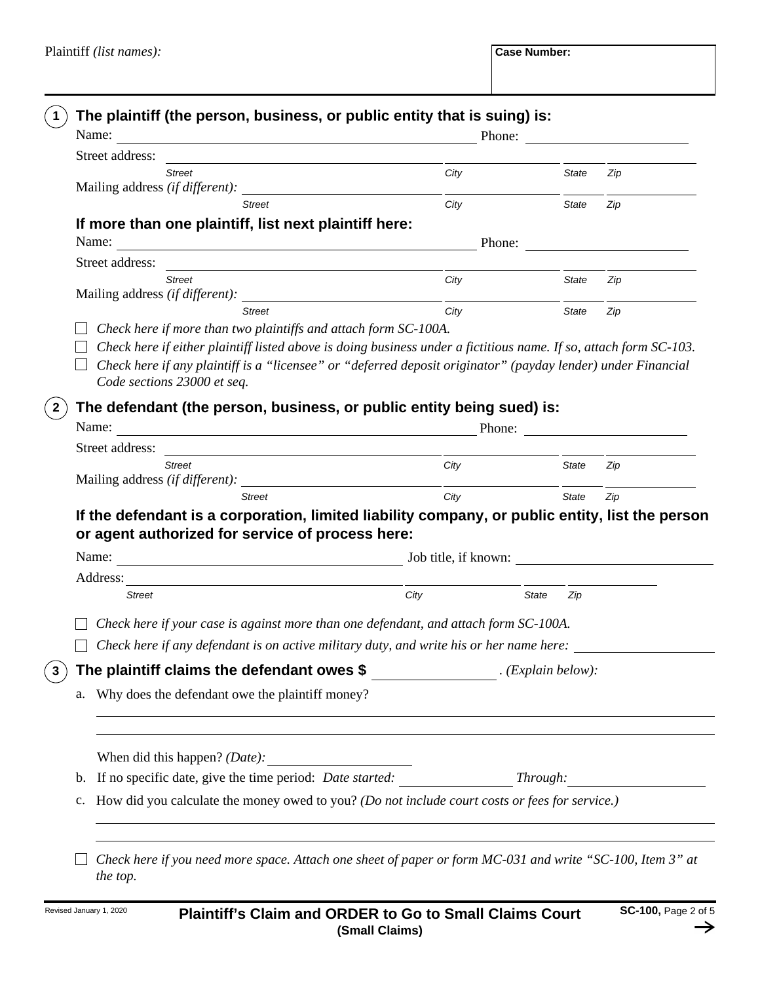**The defendant (the person, business, or public entity being sued) is:** Mailing address *(if different):* Street address: *Street City State Zip Street City State Zip* Name: Phone: Phone: Phone: Phone: Phone: Phone: Phone: Phone: Phone: Phone: Phone: Phone: Phone: Phone: Phone: Phone: Phone: Phone: Phone: Phone: Phone: Phone: Phone: Phone: Phone: Phone: Phone: Phone: Phone: Phone: Phone: **The plaintiff (the person, business, or public entity that is suing) is:** *. (Explain below):* **The plaintiff claims the defendant owes \$**  b. If no specific date, give the time period: *Date started: Through:* **3 1 2** *Check here if either plaintiff listed above is doing business under a fictitious name. If so, attach form SC-103. Check here if more than two plaintiffs and attach form SC-100A.*  **If more than one plaintiff, list next plaintiff here: If the defendant is a corporation, limited liability company, or public entity, list the person or agent authorized for service of process here:** *Check here if your case is against more than one defendant, and attach form SC-100A. Check here if any defendant is on active military duty, and write his or her name here:* Why does the defendant owe the plaintiff money? a. When did this happen? *(Date):* How did you calculate the money owed to you? *(Do not include court costs or fees for service.)* c. *Check here if you need more space. Attach one sheet of paper or form MC-031 and write "SC-100, Item 3" at*  Mailing address *(if different):*  Street address: *Street City State Zip Street City State Zip* Name: Phone: Mailing address *(if different):*  Street address: *Street City State Zip Street City State Zip* Name: Phone: Address: *Street City State Zip* Name: Job title, if known: *Check here if any plaintiff is a "licensee" or "deferred deposit originator" (payday lender) under Financial Code sections 23000 et seq.*

*the top.*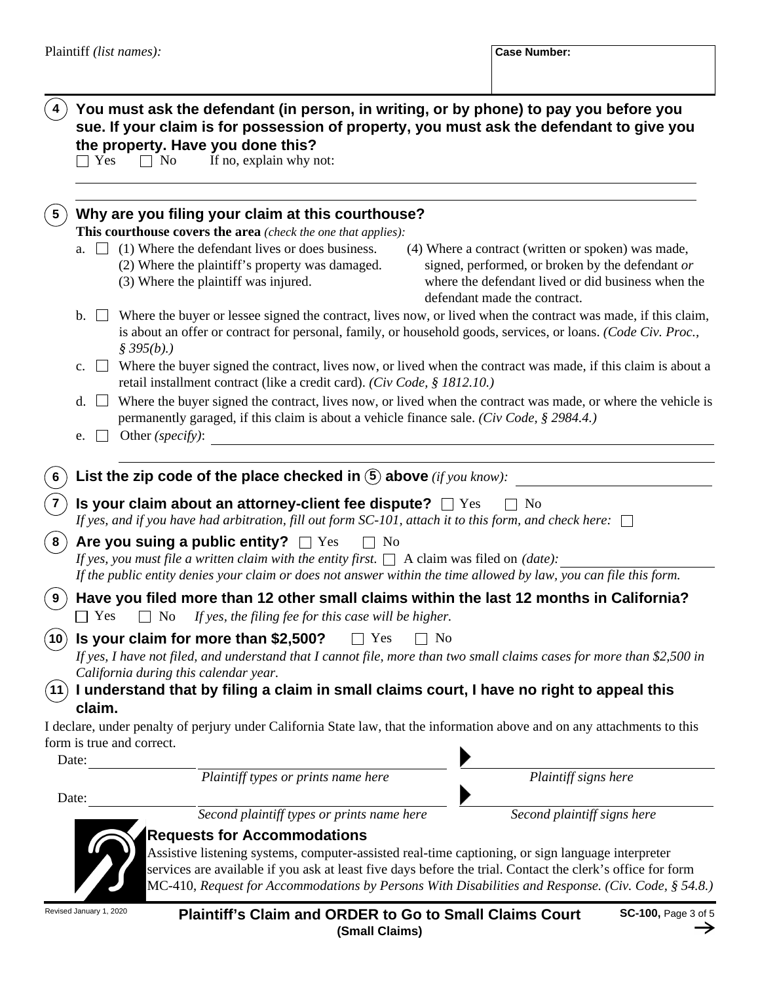# **You must ask the defendant (in person, in writing, or by phone) to pay you before you 4 sue. If your claim is for possession of property, you must ask the defendant to give you the property. Have you done this?**<br> $\Box$  Yes  $\Box$  No If no, explain why n

If no, explain why not:  $\Box$  No

|                     | Why are you filing your claim at this courthouse?                                                                                                                                                                                                                                                                                                    |  |  |  |  |
|---------------------|------------------------------------------------------------------------------------------------------------------------------------------------------------------------------------------------------------------------------------------------------------------------------------------------------------------------------------------------------|--|--|--|--|
|                     | This courthouse covers the area (check the one that applies):                                                                                                                                                                                                                                                                                        |  |  |  |  |
|                     | a. $\Box$ (1) Where the defendant lives or does business.<br>(4) Where a contract (written or spoken) was made,<br>(2) Where the plaintiff's property was damaged.<br>signed, performed, or broken by the defendant or<br>(3) Where the plaintiff was injured.<br>where the defendant lived or did business when the<br>defendant made the contract. |  |  |  |  |
|                     | Where the buyer or lessee signed the contract, lives now, or lived when the contract was made, if this claim,<br>$\mathbf{b}$ .<br>is about an offer or contract for personal, family, or household goods, services, or loans. (Code Civ. Proc.,<br>\$395(b).                                                                                        |  |  |  |  |
|                     | Where the buyer signed the contract, lives now, or lived when the contract was made, if this claim is about a<br>$\mathbf{c}$ .<br>retail installment contract (like a credit card). (Civ Code, § 1812.10.)                                                                                                                                          |  |  |  |  |
|                     | Where the buyer signed the contract, lives now, or lived when the contract was made, or where the vehicle is<br>d.<br>permanently garaged, if this claim is about a vehicle finance sale. (Civ Code, § 2984.4.)<br>Other (specify):<br>e.                                                                                                            |  |  |  |  |
|                     |                                                                                                                                                                                                                                                                                                                                                      |  |  |  |  |
| 6                   | List the zip code of the place checked in $(5)$ above (if you know):                                                                                                                                                                                                                                                                                 |  |  |  |  |
|                     | Is your claim about an attorney-client fee dispute? $\Box$ Yes<br>- No<br>If yes, and if you have had arbitration, fill out form SC-101, attach it to this form, and check here: $\Box$                                                                                                                                                              |  |  |  |  |
| 8                   | Are you suing a public entity? $\Box$ Yes<br>$\Box$ No<br>If yes, you must file a written claim with the entity first. $\Box$ A claim was filed on (date):                                                                                                                                                                                           |  |  |  |  |
|                     | If the public entity denies your claim or does not answer within the time allowed by law, you can file this form.                                                                                                                                                                                                                                    |  |  |  |  |
| 9                   | Have you filed more than 12 other small claims within the last 12 months in California?<br>$\top$ Yes<br>$\Box$ No<br>If yes, the filing fee for this case will be higher.                                                                                                                                                                           |  |  |  |  |
| $\mathbf{\hat{10}}$ | Is your claim for more than \$2,500?<br>$\Box$ Yes<br>$\Box$ No<br>If yes, I have not filed, and understand that I cannot file, more than two small claims cases for more than \$2,500 in<br>California during this calendar year.                                                                                                                   |  |  |  |  |
| (11)                | I understand that by filing a claim in small claims court, I have no right to appeal this<br>claim.                                                                                                                                                                                                                                                  |  |  |  |  |
|                     | I declare, under penalty of perjury under California State law, that the information above and on any attachments to this<br>form is true and correct.                                                                                                                                                                                               |  |  |  |  |
|                     | Date:                                                                                                                                                                                                                                                                                                                                                |  |  |  |  |
|                     | Plaintiff types or prints name here<br>Plaintiff signs here                                                                                                                                                                                                                                                                                          |  |  |  |  |
| Date:               |                                                                                                                                                                                                                                                                                                                                                      |  |  |  |  |
|                     | Second plaintiff types or prints name here<br>Second plaintiff signs here                                                                                                                                                                                                                                                                            |  |  |  |  |



### **Requests for Accommodations**

Assistive listening systems, computer-assisted real-time captioning, or sign language interpreter services are available if you ask at least five days before the trial. Contact the clerk's office for form MC-410, *Request for Accommodations by Persons With Disabilities and Response. (Civ. Code, § 54.8.)*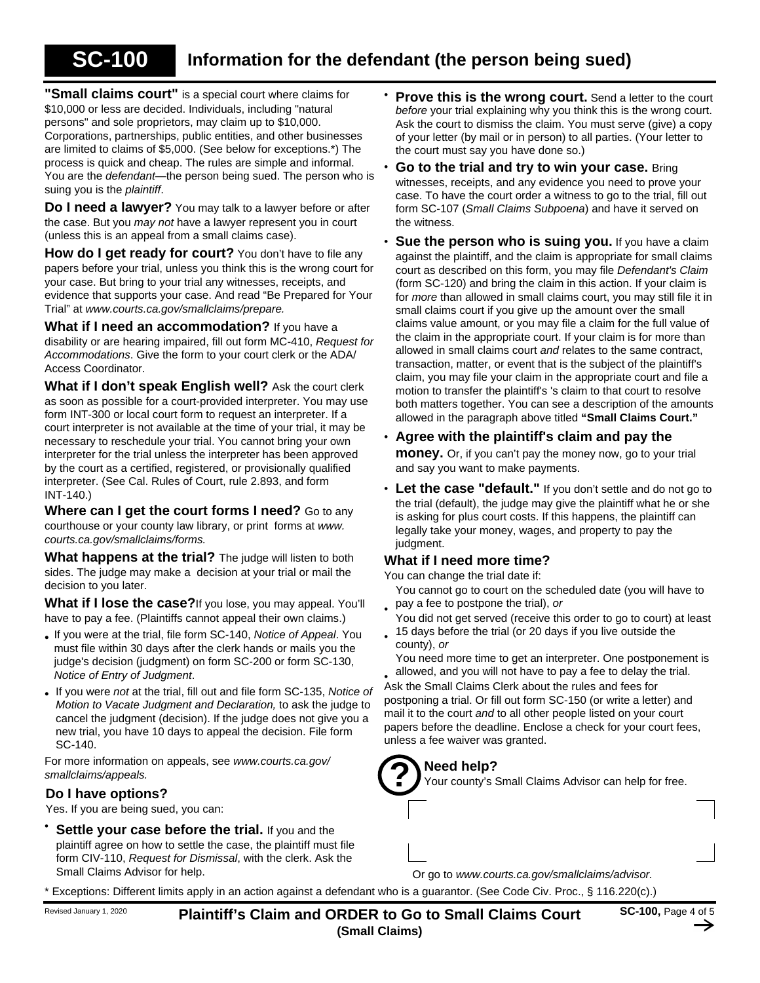# **SC-100**

**"Small claims court"** is a special court where claims for \$10,000 or less are decided. Individuals, including "natural persons" and sole proprietors, may claim up to \$10,000. Corporations, partnerships, public entities, and other businesses are limited to claims of \$5,000. (See below for exceptions.\*) The process is quick and cheap. The rules are simple and informal. You are the *defendant*—the person being sued. The person who is suing you is the *plaintiff*.

**Do I need a lawyer?** You may talk to a lawyer before or after the case. But you *may not* have a lawyer represent you in court (unless this is an appeal from a small claims case).

**How do I get ready for court?** You don't have to file any papers before your trial, unless you think this is the wrong court for your case. But bring to your trial any witnesses, receipts, and evidence that supports your case. And read "Be Prepared for Your Trial" at *www.courts.ca.gov/smallclaims/prepare.*

**What if I need an accommodation?** If you have a disability or are hearing impaired, fill out form MC-410, *Request for Accommodations*. Give the form to your court clerk or the ADA/ Access Coordinator.

**What if I don't speak English well?** Ask the court clerk as soon as possible for a court-provided interpreter. You may use form INT-300 or local court form to request an interpreter. If a court interpreter is not available at the time of your trial, it may be necessary to reschedule your trial. You cannot bring your own interpreter for the trial unless the interpreter has been approved by the court as a certified, registered, or provisionally qualified interpreter. (See Cal. Rules of Court, rule 2.893, and form INT-140.)

**Where can I get the court forms I need?** Go to any courthouse or your county law library, or print forms at *www. courts.ca.gov/smallclaims/forms.*

**What happens at the trial?** The judge will listen to both sides. The judge may make a decision at your trial or mail the decision to you later.

**What if I lose the case?**If you lose, you may appeal. You'll have to pay a fee. (Plaintiffs cannot appeal their own claims.)

- If you were at the trial, file form SC-140, *Notice of Appeal*. You must file within 30 days after the clerk hands or mails you the judge's decision (judgment) on form SC-200 or form SC-130, *Notice of Entry of Judgment*.
- If you were *not* at the trial, fill out and file form SC-135, *Notice of Motion to Vacate Judgment and Declaration,* to ask the judge to cancel the judgment (decision). If the judge does not give you a new trial, you have 10 days to appeal the decision. File form SC-140.

For more information on appeals, see *www.courts.ca.gov/ smallclaims/appeals.*

#### **Do I have options?**

Yes. If you are being sued, you can:

**Settle your case before the trial.** If you and the plaintiff agree on how to settle the case, the plaintiff must file form CIV-110, *Request for Dismissal*, with the clerk. Ask the Small Claims Advisor for help. •

- *before* your trial explaining why you think this is the wrong court. Ask the court to dismiss the claim. You must serve (give) a copy of your letter (by mail or in person) to all parties. (Your letter to the court must say you have done so.) **Prove this is the wrong court.** Send a letter to the court •
- **Go to the trial and try to win your case.** Bring witnesses, receipts, and any evidence you need to prove your case. To have the court order a witness to go to the trial, fill out form SC-107 (*Small Claims Subpoena*) and have it served on the witness. •
- **Sue the person who is suing you.** If you have a claim against the plaintiff, and the claim is appropriate for small claims court as described on this form, you may file *Defendant's Claim* (form SC-120) and bring the claim in this action. If your claim is for *more* than allowed in small claims court, you may still file it in small claims court if you give up the amount over the small claims value amount, or you may file a claim for the full value of the claim in the appropriate court. If your claim is for more than allowed in small claims court *and* relates to the same contract, transaction, matter, or event that is the subject of the plaintiff's claim, you may file your claim in the appropriate court and file a motion to transfer the plaintiff's 's claim to that court to resolve both matters together. You can see a description of the amounts allowed in the paragraph above titled **"Small Claims Court."**
- **Agree with the plaintiff's claim and pay the money.** Or, if you can't pay the money now, go to your trial and say you want to make payments.
- **Let the case "default."** If you don't settle and do not go to the trial (default), the judge may give the plaintiff what he or she is asking for plus court costs. If this happens, the plaintiff can legally take your money, wages, and property to pay the judgment.

### **What if I need more time?**

You can change the trial date if:

- You cannot go to court on the scheduled date (you will have to pay a fee to postpone the trial), *or*
- You did not get served (receive this order to go to court) at least • 15 days before the trial (or 20 days if you live outside the •
- You need more time to get an interpreter. One postponement is county), *or*

allowed, and you will not have to pay a fee to delay the trial. Ask the Small Claims Clerk about the rules and fees for

postponing a trial. Or fill out form SC-150 (or write a letter) and mail it to the court *and* to all other people listed on your court papers before the deadline. Enclose a check for your court fees, unless a fee waiver was granted.

# **Need help?**



Your county's Small Claims Advisor can help for free.

Or go to *www.courts.ca.gov/smallclaims/advisor.*

Exceptions: Different limits apply in an action against a defendant who is a guarantor. (See Code Civ. Proc., § 116.220(c).)

Revised January 1, 2020 **Plaintiff's Claim and ORDER to Go to Small Claims Court SC-100,** Page 4 of 5 **(Small Claims)**